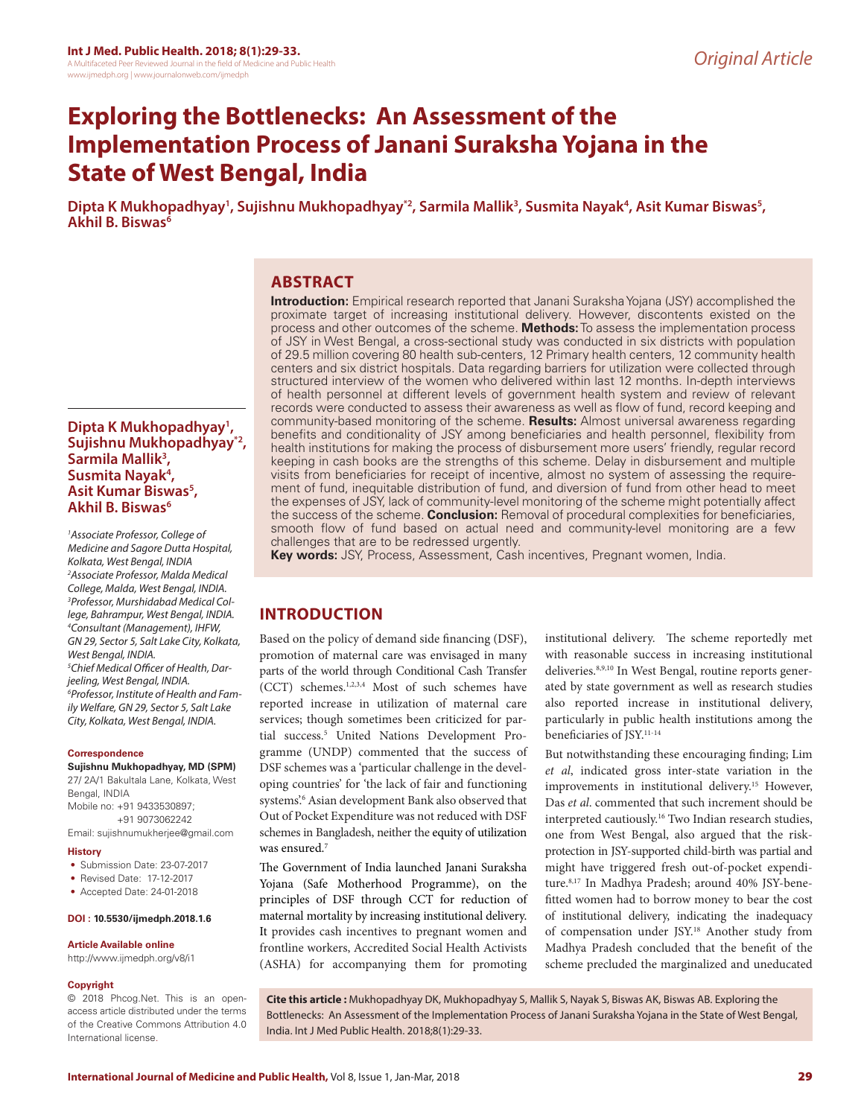# **Exploring the Bottlenecks: An Assessment of the Implementation Process of Janani Suraksha Yojana in the State of West Bengal, India**

Dipta K Mukhopadhyay', Sujishnu Mukhopadhyay<sup>\*2</sup>, Sarmila Mallik<sup>3</sup>, Susmita Nayak<sup>4</sup>, Asit Kumar Biswas<sup>5</sup>,<br>Akhil B. Biswas<sup>6</sup>

# **ABSTRACT**

**Introduction:** Empirical research reported that Janani Suraksha Yojana (JSY) accomplished the proximate target of increasing institutional delivery. However, discontents existed on the process and other outcomes of the scheme. **Methods:** To assess the implementation process of JSY in West Bengal, a cross-sectional study was conducted in six districts with population of 29.5 million covering 80 health sub-centers, 12 Primary health centers, 12 community health centers and six district hospitals. Data regarding barriers for utilization were collected through structured interview of the women who delivered within last 12 months. In-depth interviews of health personnel at different levels of government health system and review of relevant records were conducted to assess their awareness as well as flow of fund, record keeping and community-based monitoring of the scheme. **Results:** Almost universal awareness regarding benefits and conditionality of JSY among beneficiaries and health personnel, flexibility from health institutions for making the process of disbursement more users' friendly, regular record keeping in cash books are the strengths of this scheme. Delay in disbursement and multiple visits from beneficiaries for receipt of incentive, almost no system of assessing the requirement of fund, inequitable distribution of fund, and diversion of fund from other head to meet the expenses of JSY, lack of community-level monitoring of the scheme might potentially affect the success of the scheme. **Conclusion:** Removal of procedural complexities for beneficiaries, smooth flow of fund based on actual need and community-level monitoring are a few challenges that are to be redressed urgently.

**Key words:** JSY, Process, Assessment, Cash incentives, Pregnant women, India.

# **INTRODUCTION**

Based on the policy of demand side financing (DSF), promotion of maternal care was envisaged in many parts of the world through Conditional Cash Transfer (CCT) schemes.1,2,3,4 Most of such schemes have reported increase in utilization of maternal care services; though sometimes been criticized for partial success.<sup>5</sup> United Nations Development Programme (UNDP) commented that the success of DSF schemes was a 'particular challenge in the developing countries' for 'the lack of fair and functioning systems'.6 Asian development Bank also observed that Out of Pocket Expenditure was not reduced with DSF schemes in Bangladesh, neither the equity of utilization was ensured.7

The Government of India launched Janani Suraksha Yojana (Safe Motherhood Programme), on the principles of DSF through CCT for reduction of maternal mortality by increasing institutional delivery. It provides cash incentives to pregnant women and frontline workers, Accredited Social Health Activists (ASHA) for accompanying them for promoting institutional delivery. The scheme reportedly met with reasonable success in increasing institutional deliveries.8,9,10 In West Bengal, routine reports generated by state government as well as research studies also reported increase in institutional delivery, particularly in public health institutions among the beneficiaries of JSY.11-14

But notwithstanding these encouraging finding; Lim *et al*, indicated gross inter-state variation in the improvements in institutional delivery.<sup>15</sup> However, Das *et al*. commented that such increment should be interpreted cautiously.<sup>16</sup> Two Indian research studies, one from West Bengal, also argued that the riskprotection in JSY-supported child-birth was partial and might have triggered fresh out-of-pocket expenditure.8,17 In Madhya Pradesh; around 40% JSY-benefitted women had to borrow money to bear the cost of institutional delivery, indicating the inadequacy of compensation under JSY.18 Another study from Madhya Pradesh concluded that the benefit of the scheme precluded the marginalized and uneducated

**Cite this article :** Mukhopadhyay DK, Mukhopadhyay S, Mallik S, Nayak S, Biswas AK, Biswas AB. Exploring the Bottlenecks: An Assessment of the Implementation Process of Janani Suraksha Yojana in the State of West Bengal, India. Int J Med Public Health. 2018;8(1):29-33.

## **Dipta K Mukhopadhyay1 , Sujishnu Mukhopadhyay\*2, Sarmila Mallik3 , Susmita Nayak4 , Asit Kumar Biswas5 , Akhil B. Biswas6**

*1 Associate Professor, College of Medicine and Sagore Dutta Hospital, Kolkata, West Bengal, INDIA 2 Associate Professor, Malda Medical College, Malda, West Bengal, INDIA. 3 Professor, Murshidabad Medical College, Bahrampur, West Bengal, INDIA. 4 Consultant (Management), IHFW, GN 29, Sector 5, Salt Lake City, Kolkata, West Bengal, INDIA. 5 Chief Medical Officer of Health, Darjeeling, West Bengal, INDIA. 6 Professor, Institute of Health and Family Welfare, GN 29, Sector 5, Salt Lake City, Kolkata, West Bengal, INDIA.*

#### **Correspondence**

**Sujishnu Mukhopadhyay, MD (SPM)** 27/ 2A/1 Bakultala Lane, Kolkata, West Bengal, INDIA Mobile no: +91 9433530897; +91 9073062242 Email: sujishnumukherjee@gmail.com

#### **History**

- Submission Date: 23-07-2017
- Revised Date: 17-12-2017
- Accepted Date: 24-01-2018

#### **DOI : 10.5530/ijmedph.2018.1.6**

#### **Article Available online**

http://www.ijmedph.org/v8/i1

#### **Copyright**

© 2018 Phcog.Net. This is an openaccess article distributed under the terms of the Creative Commons Attribution 4.0 International license.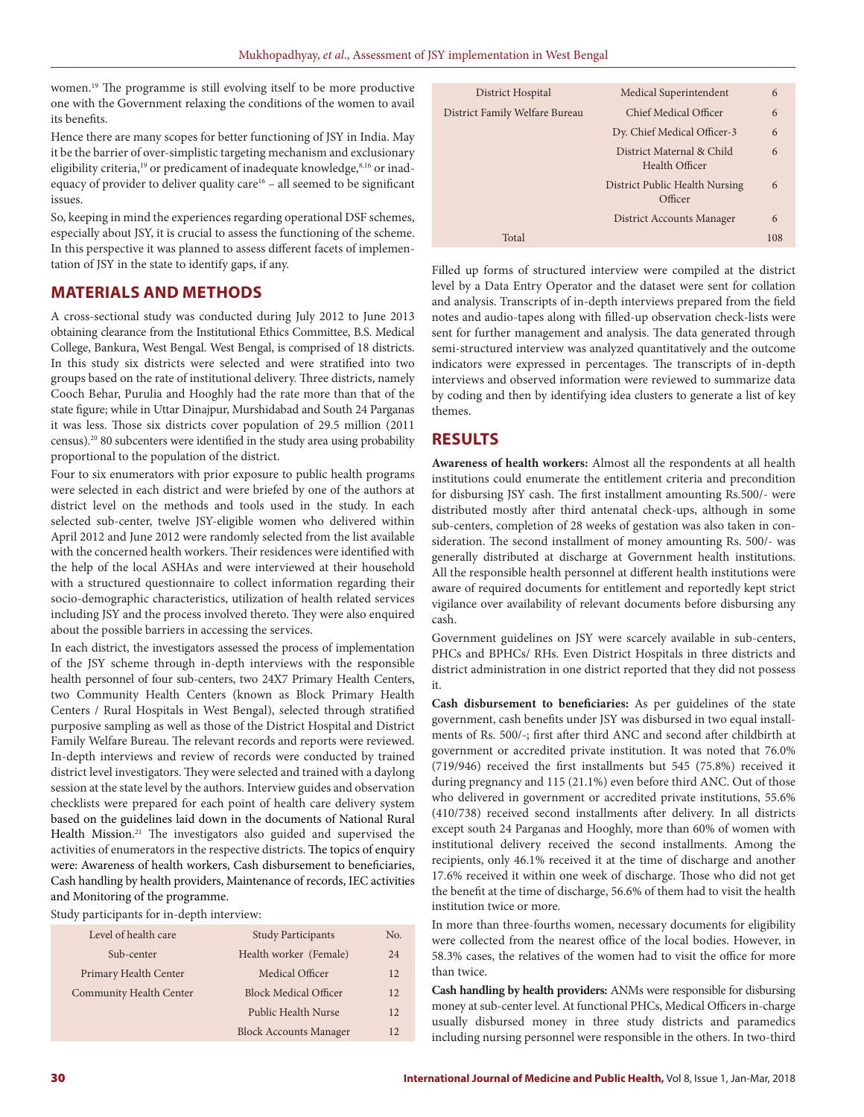women.19 The programme is still evolving itself to be more productive one with the Government relaxing the conditions of the women to avail its benefits.

Hence there are many scopes for better functioning of JSY in India. May it be the barrier of over-simplistic targeting mechanism and exclusionary eligibility criteria,<sup>19</sup> or predicament of inadequate knowledge,<sup>8,16</sup> or inadequacy of provider to deliver quality care<sup>16</sup> – all seemed to be significant issues.

So, keeping in mind the experiences regarding operational DSF schemes, especially about JSY, it is crucial to assess the functioning of the scheme. In this perspective it was planned to assess different facets of implementation of JSY in the state to identify gaps, if any.

## **MATERIALS AND METHODS**

A cross-sectional study was conducted during July 2012 to June 2013 obtaining clearance from the Institutional Ethics Committee, B.S. Medical College, Bankura, West Bengal. West Bengal, is comprised of 18 districts. In this study six districts were selected and were stratified into two groups based on the rate of institutional delivery. Three districts, namely Cooch Behar, Purulia and Hooghly had the rate more than that of the state figure; while in Uttar Dinajpur, Murshidabad and South 24 Parganas it was less. Those six districts cover population of 29.5 million (2011 census).20 80 subcenters were identified in the study area using probability proportional to the population of the district.

Four to six enumerators with prior exposure to public health programs were selected in each district and were briefed by one of the authors at district level on the methods and tools used in the study. In each selected sub-center, twelve JSY-eligible women who delivered within April 2012 and June 2012 were randomly selected from the list available with the concerned health workers. Their residences were identified with the help of the local ASHAs and were interviewed at their household with a structured questionnaire to collect information regarding their socio-demographic characteristics, utilization of health related services including JSY and the process involved thereto. They were also enquired about the possible barriers in accessing the services.

In each district, the investigators assessed the process of implementation of the JSY scheme through in-depth interviews with the responsible health personnel of four sub-centers, two 24X7 Primary Health Centers, two Community Health Centers (known as Block Primary Health Centers / Rural Hospitals in West Bengal), selected through stratified purposive sampling as well as those of the District Hospital and District Family Welfare Bureau. The relevant records and reports were reviewed. In-depth interviews and review of records were conducted by trained district level investigators. They were selected and trained with a daylong session at the state level by the authors. Interview guides and observation checklists were prepared for each point of health care delivery system based on the guidelines laid down in the documents of National Rural Health Mission. 21 The investigators also guided and supervised the activities of enumerators in the respective districts. The topics of enquiry were: Awareness of health workers, Cash disbursement to beneficiaries, Cash handling by health providers, Maintenance of records, IEC activities and Monitoring of the programme.

Study participants for in-depth interview:

| Level of health care    | <b>Study Participants</b>     | No. |
|-------------------------|-------------------------------|-----|
| Sub-center              | Health worker (Female)        | 24  |
| Primary Health Center   | Medical Officer               | 12  |
| Community Health Center | <b>Block Medical Officer</b>  | 12. |
|                         | Public Health Nurse           | 12. |
|                         | <b>Block Accounts Manager</b> | 12  |

| District Hospital              | Medical Superintendent                      | 6   |
|--------------------------------|---------------------------------------------|-----|
| District Family Welfare Bureau | Chief Medical Officer                       | 6   |
|                                | Dy. Chief Medical Officer-3                 | 6   |
|                                | District Maternal & Child<br>Health Officer | 6   |
|                                | District Public Health Nursing<br>Officer   | 6   |
|                                | District Accounts Manager                   | 6   |
| Total                          |                                             | 108 |
|                                |                                             |     |

Filled up forms of structured interview were compiled at the district level by a Data Entry Operator and the dataset were sent for collation and analysis. Transcripts of in-depth interviews prepared from the field notes and audio-tapes along with filled-up observation check-lists were sent for further management and analysis. The data generated through semi-structured interview was analyzed quantitatively and the outcome indicators were expressed in percentages. The transcripts of in-depth interviews and observed information were reviewed to summarize data by coding and then by identifying idea clusters to generate a list of key themes.

## **RESULTS**

**Awareness of health workers:** Almost all the respondents at all health institutions could enumerate the entitlement criteria and precondition for disbursing JSY cash. The first installment amounting Rs.500/- were distributed mostly after third antenatal check-ups, although in some sub-centers, completion of 28 weeks of gestation was also taken in consideration. The second installment of money amounting Rs. 500/- was generally distributed at discharge at Government health institutions. All the responsible health personnel at different health institutions were aware of required documents for entitlement and reportedly kept strict vigilance over availability of relevant documents before disbursing any cash.

Government guidelines on JSY were scarcely available in sub-centers, PHCs and BPHCs/ RHs. Even District Hospitals in three districts and district administration in one district reported that they did not possess it.

**Cash disbursement to beneficiaries:** As per guidelines of the state government, cash benefits under JSY was disbursed in two equal installments of Rs. 500/-; first after third ANC and second after childbirth at government or accredited private institution. It was noted that 76.0% (719/946) received the first installments but 545 (75.8%) received it during pregnancy and 115 (21.1%) even before third ANC. Out of those who delivered in government or accredited private institutions, 55.6% (410/738) received second installments after delivery. In all districts except south 24 Parganas and Hooghly, more than 60% of women with institutional delivery received the second installments. Among the recipients, only 46.1% received it at the time of discharge and another 17.6% received it within one week of discharge. Those who did not get the benefit at the time of discharge, 56.6% of them had to visit the health institution twice or more.

In more than three-fourths women, necessary documents for eligibility were collected from the nearest office of the local bodies. However, in 58.3% cases, the relatives of the women had to visit the office for more than twice.

**Cash handling by health providers:** ANMs were responsible for disbursing money at sub-center level. At functional PHCs, Medical Officers in-charge usually disbursed money in three study districts and paramedics including nursing personnel were responsible in the others. In two-third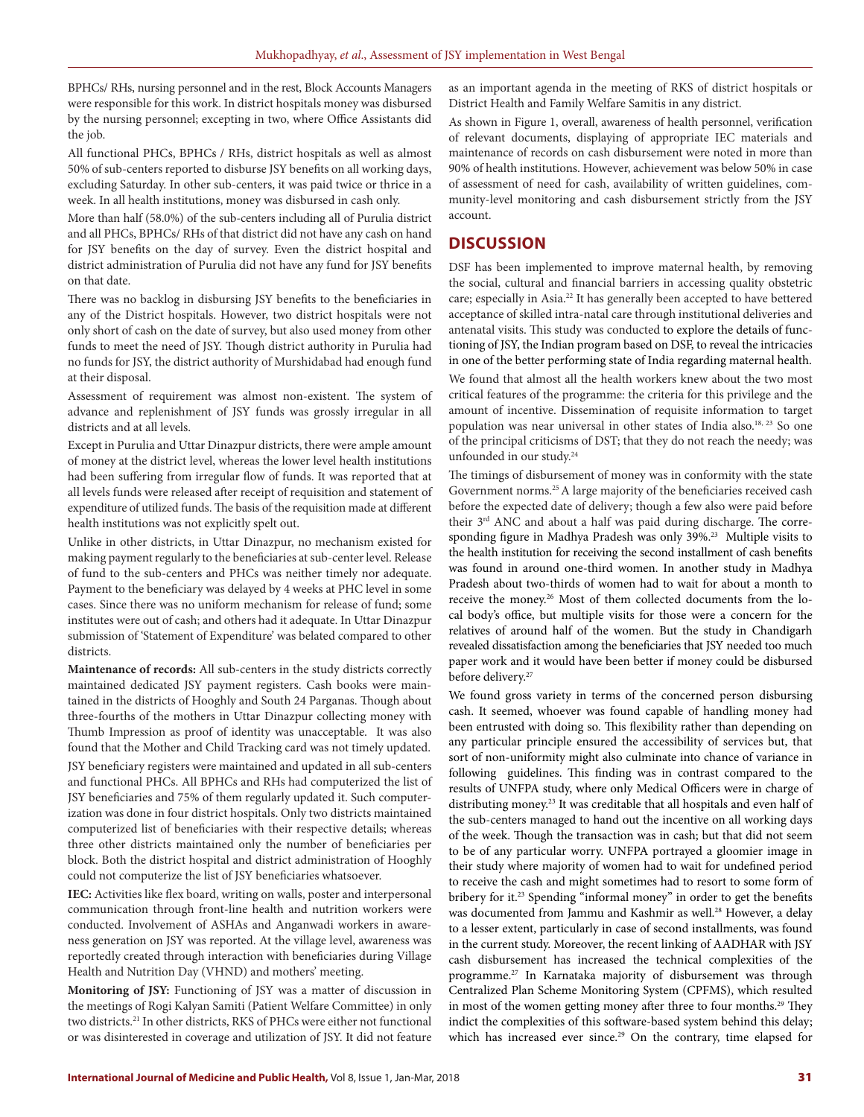BPHCs/ RHs, nursing personnel and in the rest, Block Accounts Managers were responsible for this work. In district hospitals money was disbursed by the nursing personnel; excepting in two, where Office Assistants did the job.

All functional PHCs, BPHCs / RHs, district hospitals as well as almost 50% of sub-centers reported to disburse JSY benefits on all working days, excluding Saturday. In other sub-centers, it was paid twice or thrice in a week. In all health institutions, money was disbursed in cash only.

More than half (58.0%) of the sub-centers including all of Purulia district and all PHCs, BPHCs/ RHs of that district did not have any cash on hand for JSY benefits on the day of survey. Even the district hospital and district administration of Purulia did not have any fund for JSY benefits on that date.

There was no backlog in disbursing JSY benefits to the beneficiaries in any of the District hospitals. However, two district hospitals were not only short of cash on the date of survey, but also used money from other funds to meet the need of JSY. Though district authority in Purulia had no funds for JSY, the district authority of Murshidabad had enough fund at their disposal.

Assessment of requirement was almost non-existent. The system of advance and replenishment of JSY funds was grossly irregular in all districts and at all levels.

Except in Purulia and Uttar Dinazpur districts, there were ample amount of money at the district level, whereas the lower level health institutions had been suffering from irregular flow of funds. It was reported that at all levels funds were released after receipt of requisition and statement of expenditure of utilized funds. The basis of the requisition made at different health institutions was not explicitly spelt out.

Unlike in other districts, in Uttar Dinazpur, no mechanism existed for making payment regularly to the beneficiaries at sub-center level. Release of fund to the sub-centers and PHCs was neither timely nor adequate. Payment to the beneficiary was delayed by 4 weeks at PHC level in some cases. Since there was no uniform mechanism for release of fund; some institutes were out of cash; and others had it adequate. In Uttar Dinazpur submission of 'Statement of Expenditure' was belated compared to other districts.

**Maintenance of records:** All sub-centers in the study districts correctly maintained dedicated JSY payment registers. Cash books were maintained in the districts of Hooghly and South 24 Parganas. Though about three-fourths of the mothers in Uttar Dinazpur collecting money with Thumb Impression as proof of identity was unacceptable. It was also found that the Mother and Child Tracking card was not timely updated. JSY beneficiary registers were maintained and updated in all sub-centers and functional PHCs. All BPHCs and RHs had computerized the list of JSY beneficiaries and 75% of them regularly updated it. Such computerization was done in four district hospitals. Only two districts maintained computerized list of beneficiaries with their respective details; whereas three other districts maintained only the number of beneficiaries per block. Both the district hospital and district administration of Hooghly could not computerize the list of JSY beneficiaries whatsoever.

**IEC:** Activities like flex board, writing on walls, poster and interpersonal communication through front-line health and nutrition workers were conducted. Involvement of ASHAs and Anganwadi workers in awareness generation on JSY was reported. At the village level, awareness was reportedly created through interaction with beneficiaries during Village Health and Nutrition Day (VHND) and mothers' meeting.

**Monitoring of JSY:** Functioning of JSY was a matter of discussion in the meetings of Rogi Kalyan Samiti (Patient Welfare Committee) in only two districts.21 In other districts, RKS of PHCs were either not functional or was disinterested in coverage and utilization of JSY. It did not feature

as an important agenda in the meeting of RKS of district hospitals or District Health and Family Welfare Samitis in any district.

As shown in Figure 1, overall, awareness of health personnel, verification of relevant documents, displaying of appropriate IEC materials and maintenance of records on cash disbursement were noted in more than 90% of health institutions. However, achievement was below 50% in case of assessment of need for cash, availability of written guidelines, community-level monitoring and cash disbursement strictly from the JSY account.

## **DISCUSSION**

DSF has been implemented to improve maternal health, by removing the social, cultural and financial barriers in accessing quality obstetric care; especially in Asia.<sup>22</sup> It has generally been accepted to have bettered acceptance of skilled intra-natal care through institutional deliveries and antenatal visits. This study was conducted to explore the details of functioning of JSY, the Indian program based on DSF, to reveal the intricacies in one of the better performing state of India regarding maternal health. We found that almost all the health workers knew about the two most critical features of the programme: the criteria for this privilege and the amount of incentive. Dissemination of requisite information to target population was near universal in other states of India also.<sup>18, 23</sup> So one of the principal criticisms of DST; that they do not reach the needy; was unfounded in our study.24

The timings of disbursement of money was in conformity with the state Government norms.<sup>25</sup> A large majority of the beneficiaries received cash before the expected date of delivery; though a few also were paid before their 3rd ANC and about a half was paid during discharge. The corresponding figure in Madhya Pradesh was only 39%.<sup>23</sup> Multiple visits to the health institution for receiving the second installment of cash benefits was found in around one-third women. In another study in Madhya Pradesh about two-thirds of women had to wait for about a month to receive the money.26 Most of them collected documents from the local body's office, but multiple visits for those were a concern for the relatives of around half of the women. But the study in Chandigarh revealed dissatisfaction among the beneficiaries that JSY needed too much paper work and it would have been better if money could be disbursed before delivery.<sup>27</sup>

We found gross variety in terms of the concerned person disbursing cash. It seemed, whoever was found capable of handling money had been entrusted with doing so. This flexibility rather than depending on any particular principle ensured the accessibility of services but, that sort of non-uniformity might also culminate into chance of variance in following guidelines. This finding was in contrast compared to the results of UNFPA study, where only Medical Officers were in charge of distributing money.<sup>23</sup> It was creditable that all hospitals and even half of the sub-centers managed to hand out the incentive on all working days of the week. Though the transaction was in cash; but that did not seem to be of any particular worry. UNFPA portrayed a gloomier image in their study where majority of women had to wait for undefined period to receive the cash and might sometimes had to resort to some form of bribery for it.<sup>23</sup> Spending "informal money" in order to get the benefits was documented from Jammu and Kashmir as well.<sup>28</sup> However, a delay to a lesser extent, particularly in case of second installments, was found in the current study. Moreover, the recent linking of AADHAR with JSY cash disbursement has increased the technical complexities of the programme.27 In Karnataka majority of disbursement was through Centralized Plan Scheme Monitoring System (CPFMS), which resulted in most of the women getting money after three to four months.<sup>29</sup> They indict the complexities of this software-based system behind this delay; which has increased ever since.<sup>29</sup> On the contrary, time elapsed for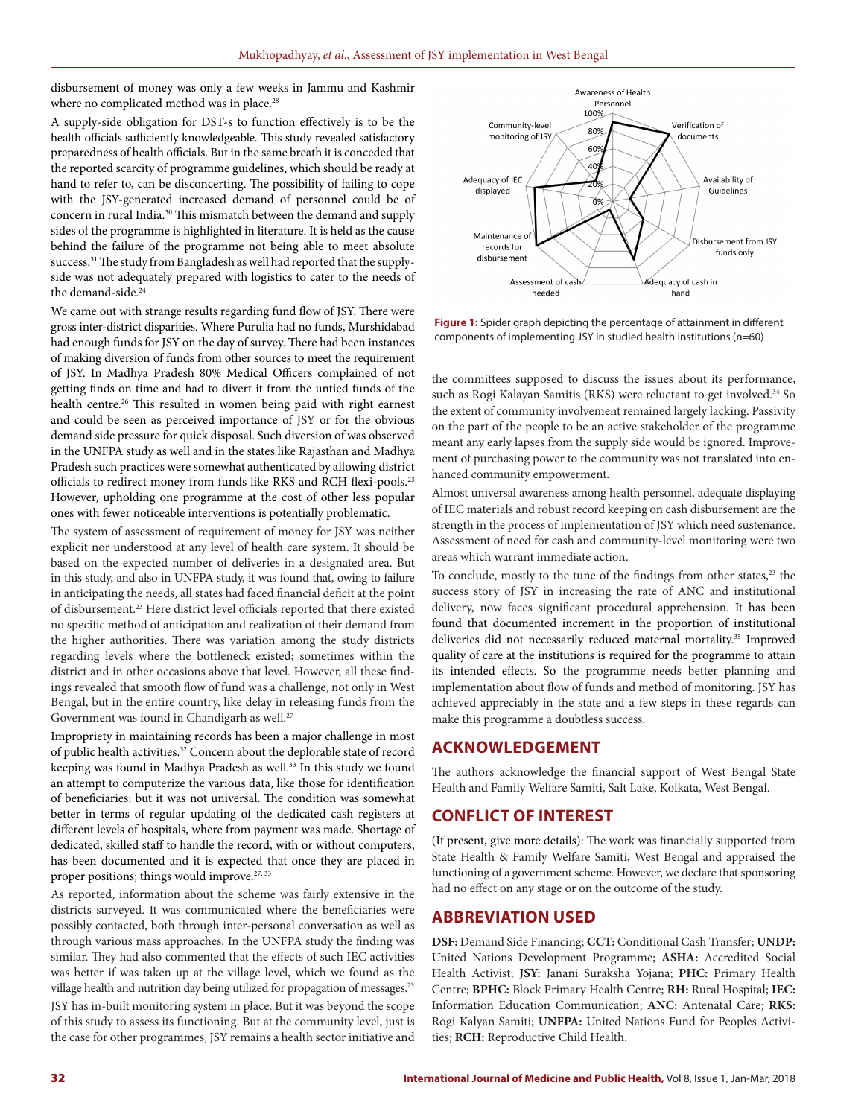disbursement of money was only a few weeks in Jammu and Kashmir where no complicated method was in place.<sup>28</sup>

A supply-side obligation for DST-s to function effectively is to be the health officials sufficiently knowledgeable. This study revealed satisfactory preparedness of health officials. But in the same breath it is conceded that the reported scarcity of programme guidelines, which should be ready at hand to refer to, can be disconcerting. The possibility of failing to cope with the JSY-generated increased demand of personnel could be of concern in rural India.30 This mismatch between the demand and supply sides of the programme is highlighted in literature. It is held as the cause behind the failure of the programme not being able to meet absolute success.<sup>31</sup> The study from Bangladesh as well had reported that the supplyside was not adequately prepared with logistics to cater to the needs of the demand-side.<sup>24</sup>

We came out with strange results regarding fund flow of JSY. There were gross inter-district disparities. Where Purulia had no funds, Murshidabad had enough funds for JSY on the day of survey. There had been instances of making diversion of funds from other sources to meet the requirement of JSY. In Madhya Pradesh 80% Medical Officers complained of not getting finds on time and had to divert it from the untied funds of the health centre.<sup>26</sup> This resulted in women being paid with right earnest and could be seen as perceived importance of JSY or for the obvious demand side pressure for quick disposal. Such diversion of was observed in the UNFPA study as well and in the states like Rajasthan and Madhya Pradesh such practices were somewhat authenticated by allowing district officials to redirect money from funds like RKS and RCH flexi-pools.<sup>23</sup> However, upholding one programme at the cost of other less popular ones with fewer noticeable interventions is potentially problematic.

The system of assessment of requirement of money for JSY was neither explicit nor understood at any level of health care system. It should be based on the expected number of deliveries in a designated area. But in this study, and also in UNFPA study, it was found that, owing to failure in anticipating the needs, all states had faced financial deficit at the point of disbursement.23 Here district level officials reported that there existed no specific method of anticipation and realization of their demand from the higher authorities. There was variation among the study districts regarding levels where the bottleneck existed; sometimes within the district and in other occasions above that level. However, all these findings revealed that smooth flow of fund was a challenge, not only in West Bengal, but in the entire country, like delay in releasing funds from the Government was found in Chandigarh as well.<sup>27</sup>

Impropriety in maintaining records has been a major challenge in most of public health activities.32 Concern about the deplorable state of record keeping was found in Madhya Pradesh as well.<sup>33</sup> In this study we found an attempt to computerize the various data, like those for identification of beneficiaries; but it was not universal. The condition was somewhat better in terms of regular updating of the dedicated cash registers at different levels of hospitals, where from payment was made. Shortage of dedicated, skilled staff to handle the record, with or without computers, has been documented and it is expected that once they are placed in proper positions; things would improve.<sup>27, 33</sup>

As reported, information about the scheme was fairly extensive in the districts surveyed. It was communicated where the beneficiaries were possibly contacted, both through inter-personal conversation as well as through various mass approaches. In the UNFPA study the finding was similar. They had also commented that the effects of such IEC activities was better if was taken up at the village level, which we found as the village health and nutrition day being utilized for propagation of messages.<sup>23</sup>

JSY has in-built monitoring system in place. But it was beyond the scope of this study to assess its functioning. But at the community level, just is the case for other programmes, JSY remains a health sector initiative and



**Figure 1:** Spider graph depicting the percentage of attainment in different components of implementing JSY in studied health institutions (n=60)

the committees supposed to discuss the issues about its performance, such as Rogi Kalayan Samitis (RKS) were reluctant to get involved.<sup>34</sup> So the extent of community involvement remained largely lacking. Passivity on the part of the people to be an active stakeholder of the programme meant any early lapses from the supply side would be ignored. Improvement of purchasing power to the community was not translated into enhanced community empowerment.

Almost universal awareness among health personnel, adequate displaying of IEC materials and robust record keeping on cash disbursement are the strength in the process of implementation of JSY which need sustenance. Assessment of need for cash and community-level monitoring were two areas which warrant immediate action.

To conclude, mostly to the tune of the findings from other states,<sup>23</sup> the success story of JSY in increasing the rate of ANC and institutional delivery, now faces significant procedural apprehension. It has been found that documented increment in the proportion of institutional deliveries did not necessarily reduced maternal mortality.35 Improved quality of care at the institutions is required for the programme to attain its intended effects. So the programme needs better planning and implementation about flow of funds and method of monitoring. JSY has achieved appreciably in the state and a few steps in these regards can make this programme a doubtless success.

## **ACKNOWLEDGEMENT**

The authors acknowledge the financial support of West Bengal State Health and Family Welfare Samiti, Salt Lake, Kolkata, West Bengal.

## **CONFLICT OF INTEREST**

(If present, give more details): The work was financially supported from State Health & Family Welfare Samiti, West Bengal and appraised the functioning of a government scheme. However, we declare that sponsoring had no effect on any stage or on the outcome of the study.

## **ABBREVIATION USED**

**DSF:** Demand Side Financing; **CCT:** Conditional Cash Transfer; **UNDP:**  United Nations Development Programme; **ASHA:** Accredited Social Health Activist; **JSY:** Janani Suraksha Yojana; **PHC:** Primary Health Centre; **BPHC:** Block Primary Health Centre; **RH:** Rural Hospital; **IEC:**  Information Education Communication; **ANC:** Antenatal Care; **RKS:**  Rogi Kalyan Samiti; **UNFPA:** United Nations Fund for Peoples Activities; **RCH:** Reproductive Child Health.